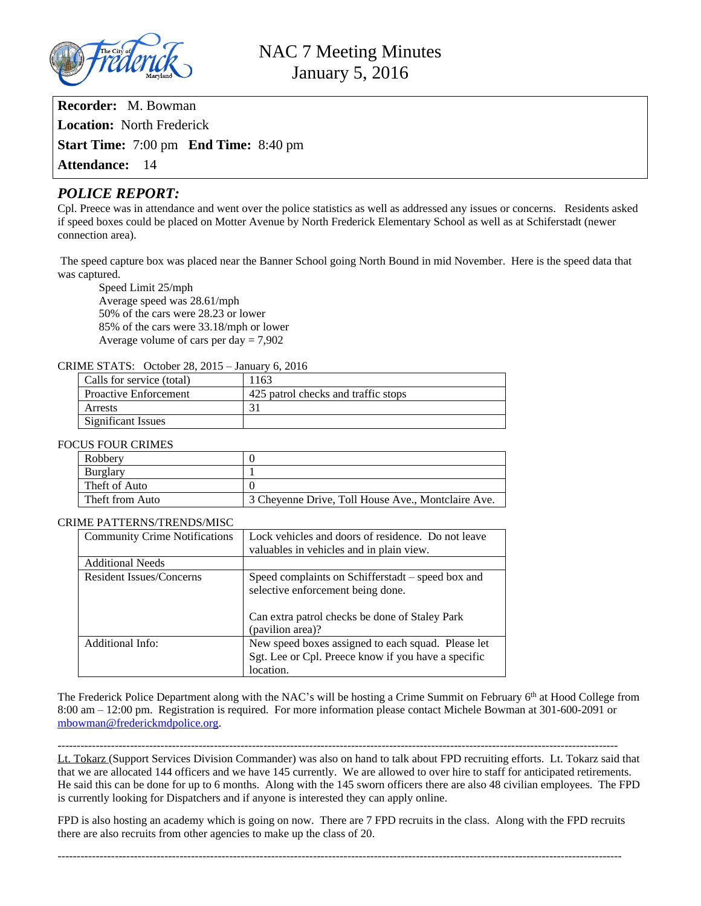

**Recorder:** M. Bowman **Location:** North Frederick **Start Time:** 7:00 pm **End Time:** 8:40 pm **Attendance:** 14

# *POLICE REPORT:*

Cpl. Preece was in attendance and went over the police statistics as well as addressed any issues or concerns. Residents asked if speed boxes could be placed on Motter Avenue by North Frederick Elementary School as well as at Schiferstadt (newer connection area).

 The speed capture box was placed near the Banner School going North Bound in mid November. Here is the speed data that was captured.

Speed Limit 25/mph Average speed was 28.61/mph 50% of the cars were 28.23 or lower 85% of the cars were 33.18/mph or lower Average volume of cars per day  $= 7,902$ 

### CRIME STATS: October 28, 2015 – January 6, 2016

| Calls for service (total)    | 163                                 |  |
|------------------------------|-------------------------------------|--|
| <b>Proactive Enforcement</b> | 425 patrol checks and traffic stops |  |
| Arrests                      |                                     |  |
| Significant Issues           |                                     |  |

#### FOCUS FOUR CRIMES

| Robbery         |                                                    |
|-----------------|----------------------------------------------------|
| Burglary        |                                                    |
| Theft of Auto   |                                                    |
| Theft from Auto | 3 Cheyenne Drive, Toll House Ave., Montclaire Ave. |

#### CRIME PATTERNS/TRENDS/MISC

| <b>Community Crime Notifications</b> | Lock vehicles and doors of residence. Do not leave                                                                     |
|--------------------------------------|------------------------------------------------------------------------------------------------------------------------|
|                                      | valuables in vehicles and in plain view.                                                                               |
| <b>Additional Needs</b>              |                                                                                                                        |
| <b>Resident Issues/Concerns</b>      | Speed complaints on Schifferstadt – speed box and<br>selective enforcement being done.                                 |
|                                      | Can extra patrol checks be done of Staley Park<br>(pavilion area)?                                                     |
| Additional Info:                     | New speed boxes assigned to each squad. Please let<br>Sgt. Lee or Cpl. Preece know if you have a specific<br>location. |

The Frederick Police Department along with the NAC's will be hosting a Crime Summit on February 6th at Hood College from 8:00 am – 12:00 pm. Registration is required. For more information please contact Michele Bowman at 301-600-2091 or [mbowman@frederickmdpolice.org.](mailto:mbowman@frederickmdpolice.org)

 $-1\leq i\leq n-1$ 

Lt. Tokarz (Support Services Division Commander) was also on hand to talk about FPD recruiting efforts. Lt. Tokarz said that that we are allocated 144 officers and we have 145 currently. We are allowed to over hire to staff for anticipated retirements. He said this can be done for up to 6 months. Along with the 145 sworn officers there are also 48 civilian employees. The FPD is currently looking for Dispatchers and if anyone is interested they can apply online.

FPD is also hosting an academy which is going on now. There are 7 FPD recruits in the class. Along with the FPD recruits there are also recruits from other agencies to make up the class of 20.

----------------------------------------------------------------------------------------------------------------------------------------------------